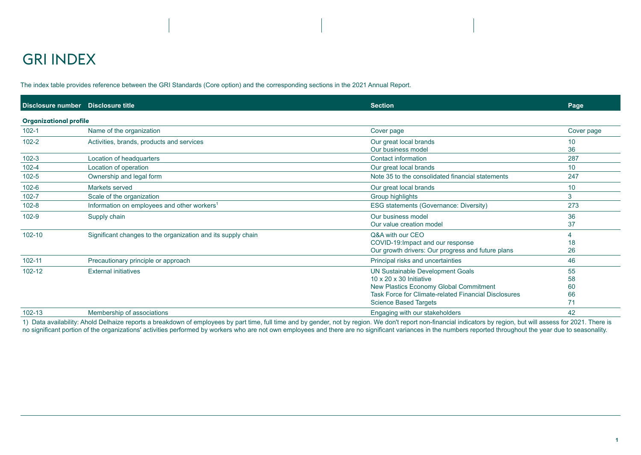The index table provides reference between the GRI Standards (Core option) and the corresponding sections in the 2021 Annual Report.

| Disclosure number Disclosure title |                                                              | <b>Section</b>                                                                                                                                                                                            | Page                       |
|------------------------------------|--------------------------------------------------------------|-----------------------------------------------------------------------------------------------------------------------------------------------------------------------------------------------------------|----------------------------|
| <b>Organizational profile</b>      |                                                              |                                                                                                                                                                                                           |                            |
| $102 - 1$                          | Name of the organization                                     | Cover page                                                                                                                                                                                                | Cover page                 |
| $102 - 2$                          | Activities, brands, products and services                    | Our great local brands<br>Our business model                                                                                                                                                              | 10<br>36                   |
| $102 - 3$                          | Location of headquarters                                     | <b>Contact information</b>                                                                                                                                                                                | 287                        |
| $102 - 4$                          | Location of operation                                        | Our great local brands                                                                                                                                                                                    | 10                         |
| $102 - 5$                          | Ownership and legal form                                     | Note 35 to the consolidated financial statements                                                                                                                                                          | 247                        |
| $102 - 6$                          | Markets served                                               | Our great local brands                                                                                                                                                                                    | 10                         |
| $102 - 7$                          | Scale of the organization                                    | Group highlights                                                                                                                                                                                          | 3                          |
| $102 - 8$                          | Information on employees and other workers <sup>1</sup>      | ESG statements (Governance: Diversity)                                                                                                                                                                    | 273                        |
| $102 - 9$                          | Supply chain                                                 | Our business model<br>Our value creation model                                                                                                                                                            | 36<br>37                   |
| $102 - 10$                         | Significant changes to the organization and its supply chain | Q&A with our CEO<br>COVID-19: Impact and our response<br>Our growth drivers: Our progress and future plans                                                                                                | $\overline{4}$<br>18<br>26 |
| $102 - 11$                         | Precautionary principle or approach                          | Principal risks and uncertainties                                                                                                                                                                         | 46                         |
| 102-12                             | <b>External initiatives</b>                                  | UN Sustainable Development Goals<br>$10 \times 20 \times 30$ Initiative<br>New Plastics Economy Global Commitment<br>Task Force for Climate-related Financial Disclosures<br><b>Science Based Targets</b> | 55<br>58<br>60<br>66<br>71 |
| $102 - 13$                         | Membership of associations                                   | Engaging with our stakeholders                                                                                                                                                                            | 42                         |

1) Data availability: Ahold Delhaize reports a breakdown of employees by part time, full time and by gender, not by region. We don't report non-financial indicators by region, but will assess for 2021. There is no significant portion of the organizations' activities performed by workers who are not own employees and there are no significant variances in the numbers reported throughout the year due to seasonality.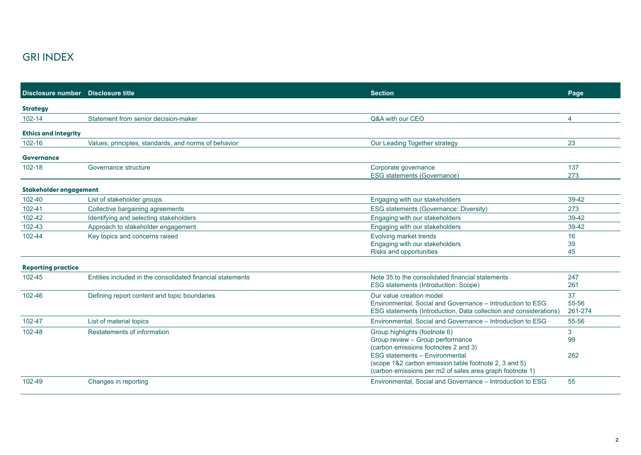| Disclosure number  Disclosure title |                                                            | <b>Section</b>                                                                                 | Page                  |
|-------------------------------------|------------------------------------------------------------|------------------------------------------------------------------------------------------------|-----------------------|
| <b>Strategy</b>                     |                                                            |                                                                                                |                       |
| 102-14                              | Statement from senior decision-maker                       | Q&A with our CEO                                                                               | $\boldsymbol{\Delta}$ |
| <b>Ethics and integrity</b>         |                                                            |                                                                                                |                       |
| 102-16                              | Values, principles, standards, and norms of behavior       | Our Leading Together strategy                                                                  | 23                    |
| <b>Governance</b>                   |                                                            |                                                                                                |                       |
| 102-18                              | Governance structure                                       | Corporate governance                                                                           | 137                   |
|                                     |                                                            | <b>ESG statements (Governance)</b>                                                             | 273                   |
| Stakeholder engagement              |                                                            |                                                                                                |                       |
| 102-40                              | List of stakeholder groups                                 | Engaging with our stakeholders                                                                 | $39-42$               |
| 102-41                              | Collective bargaining agreements                           | <b>ESG statements (Governance: Diversity)</b>                                                  | 273                   |
| 102-42                              | Identifying and selecting stakeholders                     | Engaging with our stakeholders                                                                 | 39-42                 |
| 102-43                              | Approach to stakeholder engagement                         | Engaging with our stakeholders                                                                 | 39-42                 |
| 102-44                              | Key topics and concerns raised                             | Evolving market trends                                                                         | 16                    |
|                                     |                                                            | Engaging with our stakeholders                                                                 | 39                    |
|                                     |                                                            | Risks and opportunities                                                                        | 45                    |
| <b>Reporting practice</b>           |                                                            |                                                                                                |                       |
| 102-45                              | Entities included in the consolidated financial statements | Note 35 to the consolidated financial statements                                               | 247                   |
|                                     |                                                            | ESG statements (Introduction: Scope)                                                           | 261                   |
| 102-46                              | Defining report content and topic boundaries               | Our value creation model                                                                       | 37                    |
|                                     |                                                            | Environmental, Social and Governance - Introduction to ESG                                     | 55-56                 |
|                                     |                                                            | ESG statements (Introduction, Data collection and considerations)                              | 261-274               |
| 102-47                              | List of material topics                                    | Environmental, Social and Governance - Introduction to ESG                                     | 55-56                 |
| 102-48                              | Restatements of information                                | Group highlights (footnote 6)                                                                  | 3                     |
|                                     |                                                            | Group review - Group performance                                                               | 99                    |
|                                     |                                                            | (carbon emissions footnotes 2 and 3)                                                           |                       |
|                                     |                                                            | <b>ESG statements - Environmental</b><br>(scope 1&2 carbon emission table footnote 2, 3 and 5) | 262                   |
|                                     |                                                            | (carbon emissions per m2 of sales area graph footnote 1)                                       |                       |
|                                     |                                                            |                                                                                                |                       |
| 102-49                              | Changes in reporting                                       | Environmental, Social and Governance - Introduction to ESG                                     | 55                    |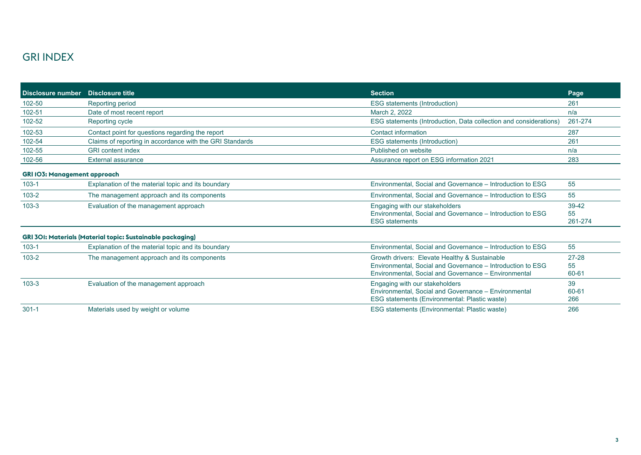| <b>Disclosure number</b>                                          | <b>Disclosure title</b>                                  | <b>Section</b>                                                                                                                                                      | Page                       |  |
|-------------------------------------------------------------------|----------------------------------------------------------|---------------------------------------------------------------------------------------------------------------------------------------------------------------------|----------------------------|--|
| 102-50                                                            | Reporting period                                         | ESG statements (Introduction)                                                                                                                                       | 261                        |  |
| 102-51                                                            | Date of most recent report                               | March 2, 2022                                                                                                                                                       | n/a                        |  |
| 102-52                                                            | Reporting cycle                                          | ESG statements (Introduction, Data collection and considerations)                                                                                                   | 261-274                    |  |
| 102-53                                                            | Contact point for questions regarding the report         | Contact information                                                                                                                                                 | 287                        |  |
| 102-54                                                            | Claims of reporting in accordance with the GRI Standards | <b>ESG</b> statements (Introduction)                                                                                                                                | 261                        |  |
| 102-55                                                            | <b>GRI</b> content index                                 | Published on website                                                                                                                                                | n/a                        |  |
| 102-56                                                            | <b>External assurance</b>                                | Assurance report on ESG information 2021                                                                                                                            | 283                        |  |
| <b>GRI 103: Management approach</b>                               |                                                          |                                                                                                                                                                     |                            |  |
| $103 - 1$                                                         | Explanation of the material topic and its boundary       | Environmental, Social and Governance - Introduction to ESG                                                                                                          | 55                         |  |
| $103 - 2$                                                         | The management approach and its components               | Environmental, Social and Governance – Introduction to ESG                                                                                                          | 55                         |  |
| $103 - 3$                                                         | Evaluation of the management approach                    | Engaging with our stakeholders<br>Environmental, Social and Governance – Introduction to ESG<br><b>ESG</b> statements                                               | $39 - 42$<br>55<br>261-274 |  |
| <b>GRI 301: Materials (Material topic: Sustainable packaging)</b> |                                                          |                                                                                                                                                                     |                            |  |
| $103 - 1$                                                         | Explanation of the material topic and its boundary       | Environmental, Social and Governance - Introduction to ESG                                                                                                          | 55                         |  |
| $103 - 2$                                                         | The management approach and its components               | Growth drivers: Elevate Healthy & Sustainable<br>Environmental, Social and Governance - Introduction to ESG<br>Environmental, Social and Governance - Environmental | $27 - 28$<br>55<br>60-61   |  |
| $103 - 3$                                                         | Evaluation of the management approach                    | Engaging with our stakeholders<br>Environmental, Social and Governance - Environmental<br>ESG statements (Environmental: Plastic waste)                             | 39<br>60-61<br>266         |  |
| $301 - 1$                                                         | Materials used by weight or volume                       | ESG statements (Environmental: Plastic waste)                                                                                                                       | 266                        |  |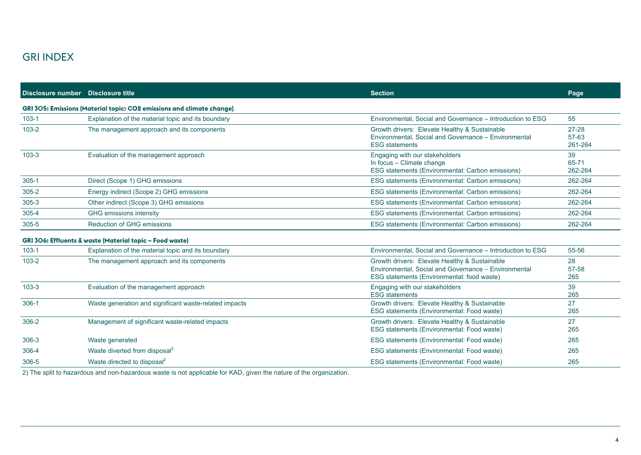| Disclosure number Disclosure title |                                                                              | <b>Section</b>                                                                                                                                      | Page                          |  |
|------------------------------------|------------------------------------------------------------------------------|-----------------------------------------------------------------------------------------------------------------------------------------------------|-------------------------------|--|
|                                    | <b>GRI 305: Emissions (Material topic: CO2 emissions and climate change)</b> |                                                                                                                                                     |                               |  |
| $103 - 1$                          | Explanation of the material topic and its boundary                           | Environmental, Social and Governance - Introduction to ESG                                                                                          | 55                            |  |
| $103 - 2$                          | The management approach and its components                                   | Growth drivers: Elevate Healthy & Sustainable<br>Environmental, Social and Governance - Environmental<br><b>ESG</b> statements                      | $27 - 28$<br>57-63<br>261-264 |  |
| $103 - 3$                          | Evaluation of the management approach                                        | Engaging with our stakeholders<br>In focus - Climate change<br>ESG statements (Environmental: Carbon emissions)                                     | 39<br>65-71<br>262-264        |  |
| $305 - 1$                          | Direct (Scope 1) GHG emissions                                               | ESG statements (Environmental: Carbon emissions)                                                                                                    | 262-264                       |  |
| $305 - 2$                          | Energy indirect (Scope 2) GHG emissions                                      | ESG statements (Environmental: Carbon emissions)                                                                                                    | 262-264                       |  |
| $305 - 3$                          | Other indirect (Scope 3) GHG emissions                                       | ESG statements (Environmental: Carbon emissions)                                                                                                    | 262-264                       |  |
| $305 - 4$                          | GHG emissions intensity                                                      | ESG statements (Environmental: Carbon emissions)                                                                                                    | 262-264                       |  |
| $305 - 5$                          | <b>Reduction of GHG emissions</b>                                            | ESG statements (Environmental: Carbon emissions)                                                                                                    | 262-264                       |  |
|                                    | GRI 3O6: Effluents & waste (Material topic – Food waste)                     |                                                                                                                                                     |                               |  |
| $103 - 1$                          | Explanation of the material topic and its boundary                           | Environmental, Social and Governance - Introduction to ESG                                                                                          | 55-56                         |  |
| $103 - 2$                          | The management approach and its components                                   | Growth drivers: Elevate Healthy & Sustainable<br>Environmental, Social and Governance - Environmental<br>ESG statements (Environmental: food waste) | 28<br>57-58<br>265            |  |
| $103 - 3$                          | Evaluation of the management approach                                        | Engaging with our stakeholders<br><b>ESG</b> statements                                                                                             | 39<br>265                     |  |
| $306-1$                            | Waste generation and significant waste-related impacts                       | Growth drivers: Elevate Healthy & Sustainable<br>ESG statements (Environmental: Food waste)                                                         | 27<br>265                     |  |
| $306 - 2$                          | Management of significant waste-related impacts                              | Growth drivers: Elevate Healthy & Sustainable<br>ESG statements (Environmental: Food waste)                                                         | 27<br>265                     |  |
| $306 - 3$                          | Waste generated                                                              | ESG statements (Environmental: Food waste)                                                                                                          | 265                           |  |
| 306-4                              | Waste diverted from disposal <sup>2</sup>                                    | ESG statements (Environmental: Food waste)                                                                                                          | 265                           |  |
| 306-5                              | Waste directed to disposal <sup>2</sup>                                      | ESG statements (Environmental: Food waste)                                                                                                          | 265                           |  |

2) The split to hazardous and non-hazardous waste is not applicable for KAD, given the nature of the organization.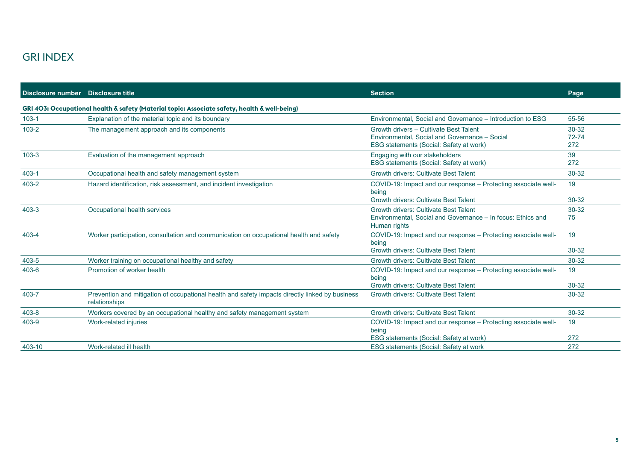| Disclosure number Disclosure title |                                                                                                 | <b>Section</b>                                                                                                                     | Page                          |
|------------------------------------|-------------------------------------------------------------------------------------------------|------------------------------------------------------------------------------------------------------------------------------------|-------------------------------|
|                                    | GRI 403: Occupational health & safety (Material topic: Associate safety, health & well-being)   |                                                                                                                                    |                               |
| $103 - 1$                          | Explanation of the material topic and its boundary                                              | Environmental, Social and Governance - Introduction to ESG                                                                         | 55-56                         |
| $103 - 2$                          | The management approach and its components                                                      | Growth drivers - Cultivate Best Talent<br>Environmental, Social and Governance - Social<br>ESG statements (Social: Safety at work) | $30 - 32$<br>$72 - 74$<br>272 |
| $103 - 3$                          | Evaluation of the management approach                                                           | Engaging with our stakeholders<br>ESG statements (Social: Safety at work)                                                          | 39<br>272                     |
| $403 - 1$                          | Occupational health and safety management system                                                | <b>Growth drivers: Cultivate Best Talent</b>                                                                                       | $30 - 32$                     |
| 403-2                              | Hazard identification, risk assessment, and incident investigation                              | COVID-19: Impact and our response – Protecting associate well-<br>being<br>Growth drivers: Cultivate Best Talent                   | 19<br>$30 - 32$               |
| $403 - 3$                          |                                                                                                 | <b>Growth drivers: Cultivate Best Talent</b>                                                                                       | $30 - 32$                     |
|                                    | Occupational health services                                                                    | Environmental, Social and Governance - In focus: Ethics and<br>Human rights                                                        | 75                            |
| 403-4                              | Worker participation, consultation and communication on occupational health and safety          | COVID-19: Impact and our response - Protecting associate well-<br>being                                                            | 19                            |
|                                    |                                                                                                 | <b>Growth drivers: Cultivate Best Talent</b>                                                                                       | 30-32                         |
| 403-5<br>403-6                     | Worker training on occupational healthy and safety<br>Promotion of worker health                | <b>Growth drivers: Cultivate Best Talent</b><br>COVID-19: Impact and our response – Protecting associate well-<br>being            | $30 - 32$<br>19               |
| 403-7                              | Prevention and mitigation of occupational health and safety impacts directly linked by business | <b>Growth drivers: Cultivate Best Talent</b><br><b>Growth drivers: Cultivate Best Talent</b>                                       | 30-32<br>$30 - 32$            |
|                                    | relationships                                                                                   |                                                                                                                                    |                               |
| $403 - 8$                          | Workers covered by an occupational healthy and safety management system                         | <b>Growth drivers: Cultivate Best Talent</b>                                                                                       | $30 - 32$                     |
| 403-9                              | Work-related injuries                                                                           | COVID-19: Impact and our response – Protecting associate well-<br>being                                                            | 19                            |
|                                    |                                                                                                 | ESG statements (Social: Safety at work)                                                                                            | 272                           |
| 403-10                             | Work-related ill health                                                                         | ESG statements (Social: Safety at work                                                                                             | 272                           |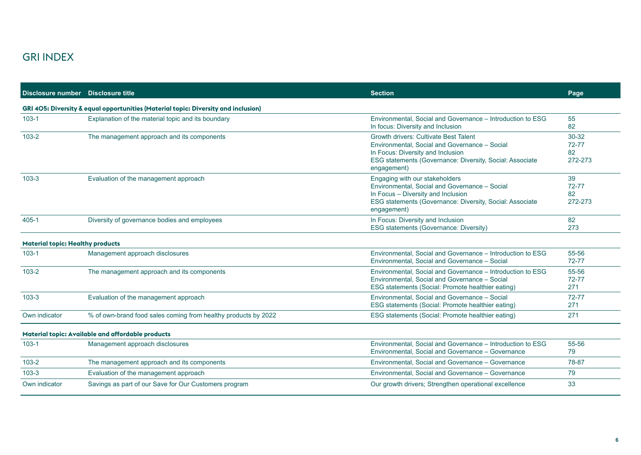| Disclosure number Disclosure title      |                                                                                    | <b>Section</b>                                                                                                                                                                                                | Page                                |  |
|-----------------------------------------|------------------------------------------------------------------------------------|---------------------------------------------------------------------------------------------------------------------------------------------------------------------------------------------------------------|-------------------------------------|--|
|                                         | GRI 405: Diversity & equal opportunities (Material topic: Diversity and inclusion) |                                                                                                                                                                                                               |                                     |  |
| $103 - 1$                               | Explanation of the material topic and its boundary                                 | Environmental, Social and Governance - Introduction to ESG<br>In focus: Diversity and Inclusion                                                                                                               | 55<br>82                            |  |
| $103 - 2$                               | The management approach and its components                                         | <b>Growth drivers: Cultivate Best Talent</b><br>Environmental, Social and Governance - Social<br>In Focus: Diversity and Inclusion<br>ESG statements (Governance: Diversity, Social: Associate<br>engagement) | $30 - 32$<br>72-77<br>82<br>272-273 |  |
| $103 - 3$                               | Evaluation of the management approach                                              | Engaging with our stakeholders<br>Environmental, Social and Governance - Social<br>In Focus - Diversity and Inclusion<br>ESG statements (Governance: Diversity, Social: Associate<br>engagement)              | 39<br>72-77<br>82<br>272-273        |  |
| $405 - 1$                               | Diversity of governance bodies and employees                                       | In Focus: Diversity and Inclusion<br>ESG statements (Governance: Diversity)                                                                                                                                   | 82<br>273                           |  |
| <b>Material topic: Healthy products</b> |                                                                                    |                                                                                                                                                                                                               |                                     |  |
| $103 - 1$                               | Management approach disclosures                                                    | Environmental, Social and Governance - Introduction to ESG<br>Environmental, Social and Governance - Social                                                                                                   | 55-56<br>72-77                      |  |
| $103 - 2$                               | The management approach and its components                                         | Environmental, Social and Governance - Introduction to ESG<br>Environmental, Social and Governance - Social<br>ESG statements (Social: Promote healthier eating)                                              | 55-56<br>72-77<br>271               |  |
| $103 - 3$                               | Evaluation of the management approach                                              | Environmental, Social and Governance - Social<br>ESG statements (Social: Promote healthier eating)                                                                                                            | 72-77<br>271                        |  |
| Own indicator                           | % of own-brand food sales coming from healthy products by 2022                     | ESG statements (Social: Promote healthier eating)                                                                                                                                                             | 271                                 |  |
|                                         | Material topic: Available and affordable products                                  |                                                                                                                                                                                                               |                                     |  |
| $103 - 1$                               | Management approach disclosures                                                    | Environmental, Social and Governance - Introduction to ESG<br>Environmental, Social and Governance - Governance                                                                                               | 55-56<br>79                         |  |
| $103 - 2$                               | The management approach and its components                                         | Environmental, Social and Governance - Governance                                                                                                                                                             | 78-87                               |  |
| $103 - 3$                               | Evaluation of the management approach                                              | Environmental, Social and Governance - Governance                                                                                                                                                             | 79                                  |  |
| Own indicator                           | Savings as part of our Save for Our Customers program                              | Our growth drivers; Strengthen operational excellence                                                                                                                                                         | 33                                  |  |